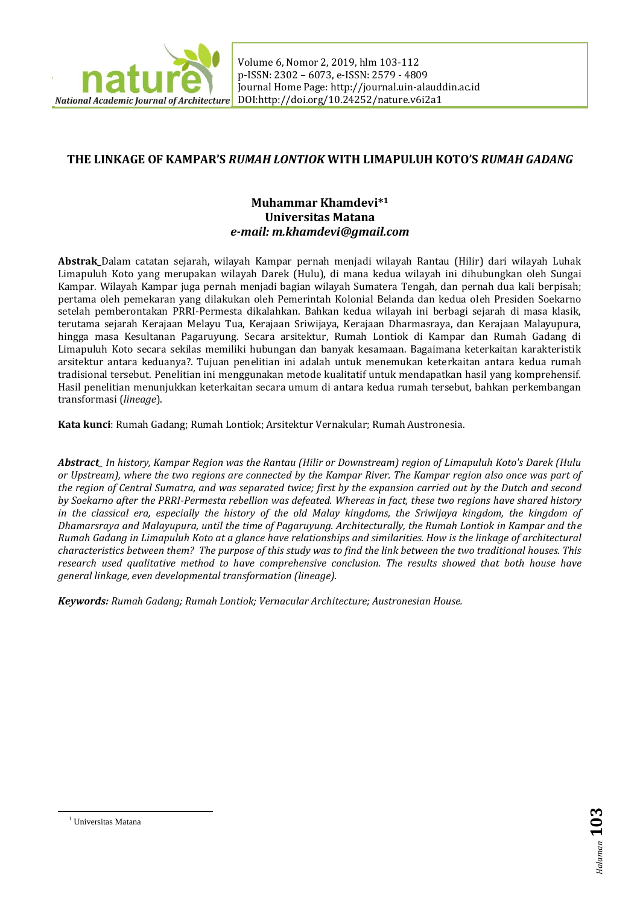

**The Linkage of Kampara**<br>
Volume 6, Nomor 2, 2019, hlm 103-112 *Rumah Gadang* p-ISSN: 2302 – 6073, e-ISSN: 2579 - 4809 Journal Home Page[: http://journal.uin-alauddin.ac.id](http://journal.uin-alauddin.ac.id/) DOI:http://doi.org/10.24252/nature.v6i2a1

# **THE LINKAGE OF KAMPAR'S** *RUMAH LONTIOK* **WITH LIMAPULUH KOTO'S** *RUMAH GADANG*

# **Muhammar Khamdevi\*<sup>1</sup> Universitas Matana** *e-mail: m.khamdevi@gmail.com*

**Abstrak\_**Dalam catatan sejarah, wilayah Kampar pernah menjadi wilayah Rantau (Hilir) dari wilayah Luhak Limapuluh Koto yang merupakan wilayah Darek (Hulu), di mana kedua wilayah ini dihubungkan oleh Sungai Kampar. Wilayah Kampar juga pernah menjadi bagian wilayah Sumatera Tengah, dan pernah dua kali berpisah; pertama oleh pemekaran yang dilakukan oleh Pemerintah Kolonial Belanda dan kedua oleh Presiden Soekarno setelah pemberontakan PRRI-Permesta dikalahkan. Bahkan kedua wilayah ini berbagi sejarah di masa klasik, terutama sejarah Kerajaan Melayu Tua, Kerajaan Sriwijaya, Kerajaan Dharmasraya, dan Kerajaan Malayupura, hingga masa Kesultanan Pagaruyung. Secara arsitektur, Rumah Lontiok di Kampar dan Rumah Gadang di Limapuluh Koto secara sekilas memiliki hubungan dan banyak kesamaan. Bagaimana keterkaitan karakteristik arsitektur antara keduanya?. Tujuan penelitian ini adalah untuk menemukan keterkaitan antara kedua rumah tradisional tersebut. Penelitian ini menggunakan metode kualitatif untuk mendapatkan hasil yang komprehensif. Hasil penelitian menunjukkan keterkaitan secara umum di antara kedua rumah tersebut, bahkan perkembangan transformasi (*lineage*).

**Kata kunci**: Rumah Gadang; Rumah Lontiok; Arsitektur Vernakular; Rumah Austronesia.

*Abstract\_ In history, Kampar Region was the Rantau (Hilir or Downstream) region of Limapuluh Koto's Darek (Hulu or Upstream), where the two regions are connected by the Kampar River. The Kampar region also once was part of the region of Central Sumatra, and was separated twice; first by the expansion carried out by the Dutch and second by Soekarno after the PRRI-Permesta rebellion was defeated. Whereas in fact, these two regions have shared history in the classical era, especially the history of the old Malay kingdoms, the Sriwijaya kingdom, the kingdom of Dhamarsraya and Malayupura, until the time of Pagaruyung. Architecturally, the Rumah Lontiok in Kampar and the Rumah Gadang in Limapuluh Koto at a glance have relationships and similarities. How is the linkage of architectural characteristics between them? The purpose of this study was to find the link between the two traditional houses. This research used qualitative method to have comprehensive conclusion. The results showed that both house have general linkage, even developmental transformation (lineage).*

*Keywords: Rumah Gadang; Rumah Lontiok; Vernacular Architecture; Austronesian House.*

-

<sup>1</sup> Universitas Matana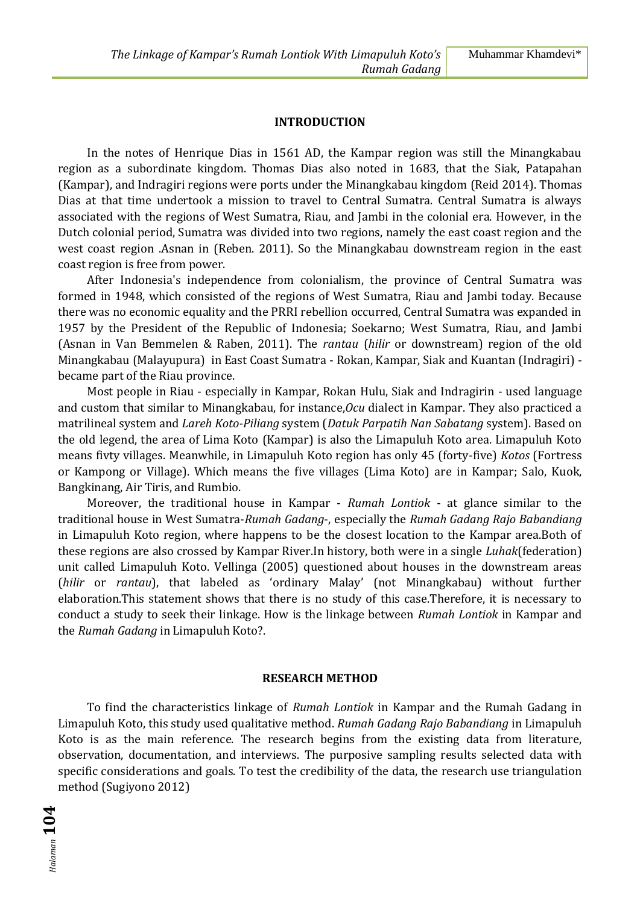#### **INTRODUCTION**

In the notes of Henrique Dias in 1561 AD, the Kampar region was still the Minangkabau region as a subordinate kingdom. Thomas Dias also noted in 1683, that the Siak, Patapahan (Kampar), and Indragiri regions were ports under the Minangkabau kingdom (Reid 2014). Thomas Dias at that time undertook a mission to travel to Central Sumatra. Central Sumatra is always associated with the regions of West Sumatra, Riau, and Jambi in the colonial era. However, in the Dutch colonial period, Sumatra was divided into two regions, namely the east coast region and the west coast region .Asnan in (Reben. 2011). So the Minangkabau downstream region in the east coast region is free from power.

After Indonesia's independence from colonialism, the province of Central Sumatra was formed in 1948, which consisted of the regions of West Sumatra, Riau and Jambi today. Because there was no economic equality and the PRRI rebellion occurred, Central Sumatra was expanded in 1957 by the President of the Republic of Indonesia; Soekarno; West Sumatra, Riau, and Jambi (Asnan in Van Bemmelen & Raben, 2011). The *rantau* (*hilir* or downstream) region of the old Minangkabau (Malayupura) in East Coast Sumatra - Rokan, Kampar, Siak and Kuantan (Indragiri) became part of the Riau province.

Most people in Riau - especially in Kampar, Rokan Hulu, Siak and Indragirin - used language and custom that similar to Minangkabau, for instance,*Ocu* dialect in Kampar. They also practiced a matrilineal system and *Lareh Koto-Piliang* system (*Datuk Parpatih Nan Sabatang* system). Based on the old legend, the area of Lima Koto (Kampar) is also the Limapuluh Koto area. Limapuluh Koto means fivty villages. Meanwhile, in Limapuluh Koto region has only 45 (forty-five) *Kotos* (Fortress or Kampong or Village). Which means the five villages (Lima Koto) are in Kampar; Salo, Kuok, Bangkinang, Air Tiris, and Rumbio.

Moreover, the traditional house in Kampar - *Rumah Lontiok* - at glance similar to the traditional house in West Sumatra-*Rumah Gadang*-, especially the *Rumah Gadang Rajo Babandiang* in Limapuluh Koto region, where happens to be the closest location to the Kampar area.Both of these regions are also crossed by Kampar River.In history, both were in a single *Luhak*(federation) unit called Limapuluh Koto. Vellinga (2005) questioned about houses in the downstream areas (*hilir* or *rantau*), that labeled as 'ordinary Malay' (not Minangkabau) without further elaboration.This statement shows that there is no study of this case.Therefore, it is necessary to conduct a study to seek their linkage. How is the linkage between *Rumah Lontiok* in Kampar and the *Rumah Gadang* in Limapuluh Koto?.

#### **RESEARCH METHOD**

To find the characteristics linkage of *Rumah Lontiok* in Kampar and the Rumah Gadang in Limapuluh Koto, this study used qualitative method. *Rumah Gadang Rajo Babandiang* in Limapuluh Koto is as the main reference. The research begins from the existing data from literature, observation, documentation, and interviews. The purposive sampling results selected data with specific considerations and goals. To test the credibility of the data, the research use triangulation method (Sugiyono 2012)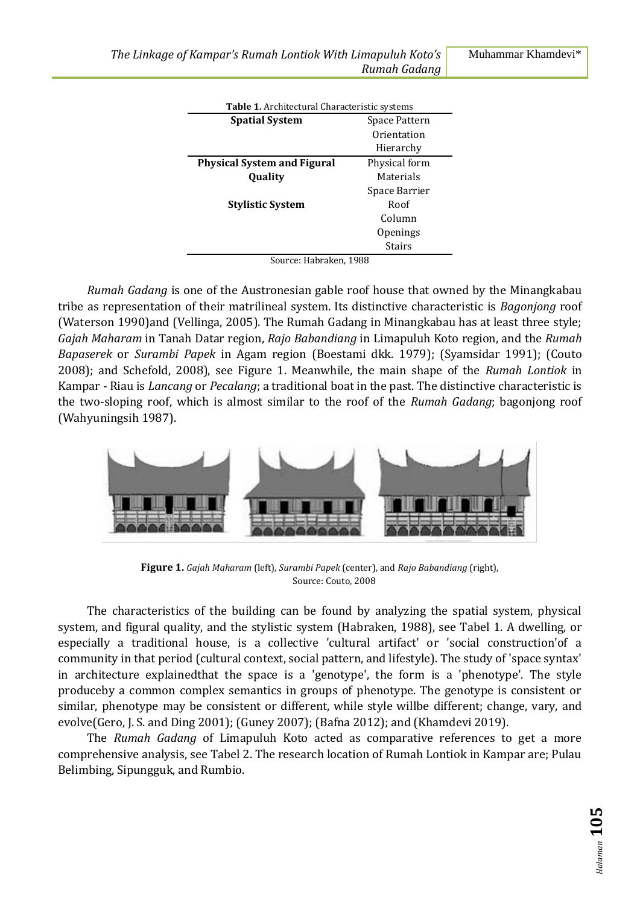| Table 1. Architectural Characteristic systems |                 |  |
|-----------------------------------------------|-----------------|--|
| <b>Spatial System</b>                         | Space Pattern   |  |
|                                               | Orientation     |  |
|                                               | Hierarchy       |  |
| <b>Physical System and Figural</b>            | Physical form   |  |
| Quality                                       | Materials       |  |
|                                               | Space Barrier   |  |
| <b>Stylistic System</b>                       | Roof            |  |
|                                               | Column          |  |
|                                               | <b>Openings</b> |  |
|                                               | Stairs          |  |

Source: Habraken, 1988

*Rumah Gadang* is one of the Austronesian gable roof house that owned by the Minangkabau tribe as representation of their matrilineal system. Its distinctive characteristic is *Bagonjong* roof (Waterson 1990)and (Vellinga, 2005). The Rumah Gadang in Minangkabau has at least three style; *Gajah Maharam* in Tanah Datar region, *Rajo Babandiang* in Limapuluh Koto region, and the *Rumah Bapaserek* or *Surambi Papek* in Agam region (Boestami dkk. 1979); (Syamsidar 1991); (Couto 2008); and Schefold, 2008), see Figure 1. Meanwhile, the main shape of the *Rumah Lontiok* in Kampar - Riau is *Lancang* or *Pecalang*; a traditional boat in the past. The distinctive characteristic is the two-sloping roof, which is almost similar to the roof of the *Rumah Gadang*; bagonjong roof (Wahyuningsih 1987).



**Figure 1.** *Gajah Maharam* (left), *Surambi Papek* (center), and *Rajo Babandiang* (right), Source: Couto, 2008

The characteristics of the building can be found by analyzing the spatial system, physical system, and figural quality, and the stylistic system (Habraken, 1988), see Tabel 1. A dwelling, or especially a traditional house, is a collective 'cultural artifact' or 'social construction'of a community in that period (cultural context, social pattern, and lifestyle). The study of 'space syntax' in architecture explainedthat the space is a 'genotype', the form is a 'phenotype'. The style produceby a common complex semantics in groups of phenotype. The genotype is consistent or similar, phenotype may be consistent or different, while style willbe different; change, vary, and evolve(Gero, J. S. and Ding 2001); (Guney 2007); (Bafna 2012); and (Khamdevi 2019).

The *Rumah Gadang* of Limapuluh Koto acted as comparative references to get a more comprehensive analysis, see Tabel 2. The research location of Rumah Lontiok in Kampar are; Pulau Belimbing, Sipungguk, and Rumbio.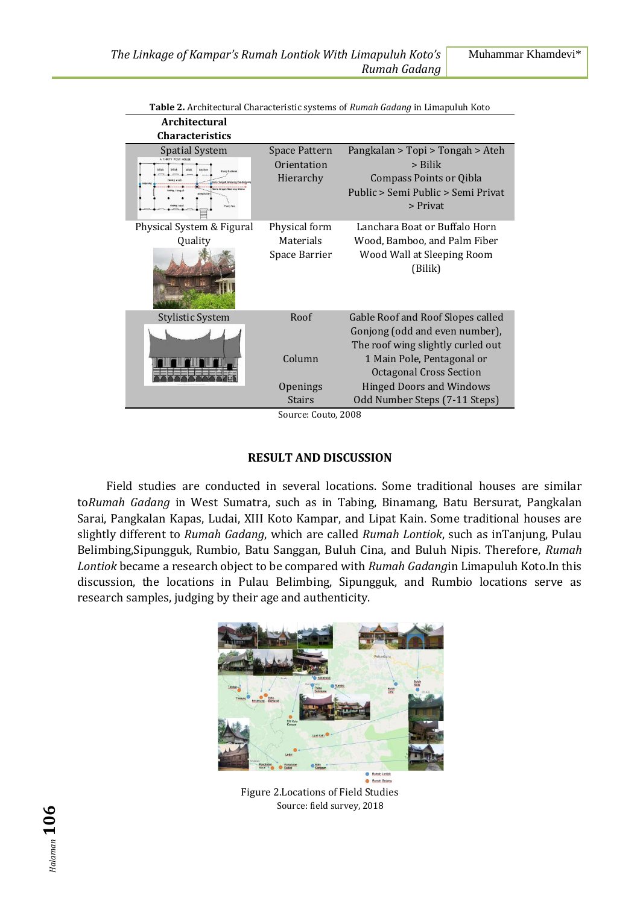| <b>Architectural</b>                         |                                                  | n in chilcelarur una acteristic systems of human duuung in minapulan noto                                                              |
|----------------------------------------------|--------------------------------------------------|----------------------------------------------------------------------------------------------------------------------------------------|
| <b>Characteristics</b>                       |                                                  |                                                                                                                                        |
| <b>Spatial System</b><br><b>Figures Tips</b> | <b>Space Pattern</b><br>Orientation<br>Hierarchy | Pangkalan > Topi > Tongah > Ateh<br>$>$ Bilik<br>Compass Points or Qibla<br>Public > Semi Public > Semi Privat<br>> Privat             |
| Physical System & Figural<br>Quality         | Physical form<br>Materials<br>Space Barrier      | Lanchara Boat or Buffalo Horn<br>Wood, Bamboo, and Palm Fiber<br>Wood Wall at Sleeping Room<br>(Bilik)                                 |
| <b>Stylistic System</b>                      | Roof<br>Column                                   | Gable Roof and Roof Slopes called<br>Gonjong (odd and even number),<br>The roof wing slightly curled out<br>1 Main Pole, Pentagonal or |
|                                              | Openings<br>Stairs                               | <b>Octagonal Cross Section</b><br><b>Hinged Doors and Windows</b><br>Odd Number Steps (7-11 Steps)                                     |

**Table 2.** Architectural Characteristic systems of *Rumah Gadang* in Limapuluh Koto

Source: Couto, 2008

#### **RESULT AND DISCUSSION**

Field studies are conducted in several locations. Some traditional houses are similar to*Rumah Gadang* in West Sumatra, such as in Tabing, Binamang, Batu Bersurat, Pangkalan Sarai, Pangkalan Kapas, Ludai, XIII Koto Kampar, and Lipat Kain. Some traditional houses are slightly different to *Rumah Gadang*, which are called *Rumah Lontiok*, such as inTanjung, Pulau Belimbing,Sipungguk, Rumbio, Batu Sanggan, Buluh Cina, and Buluh Nipis. Therefore, *Rumah Lontiok* became a research object to be compared with *Rumah Gadang*in Limapuluh Koto.In this discussion, the locations in Pulau Belimbing, Sipungguk, and Rumbio locations serve as research samples, judging by their age and authenticity.



Figure 2.Locations of Field Studies Source: field survey, 2018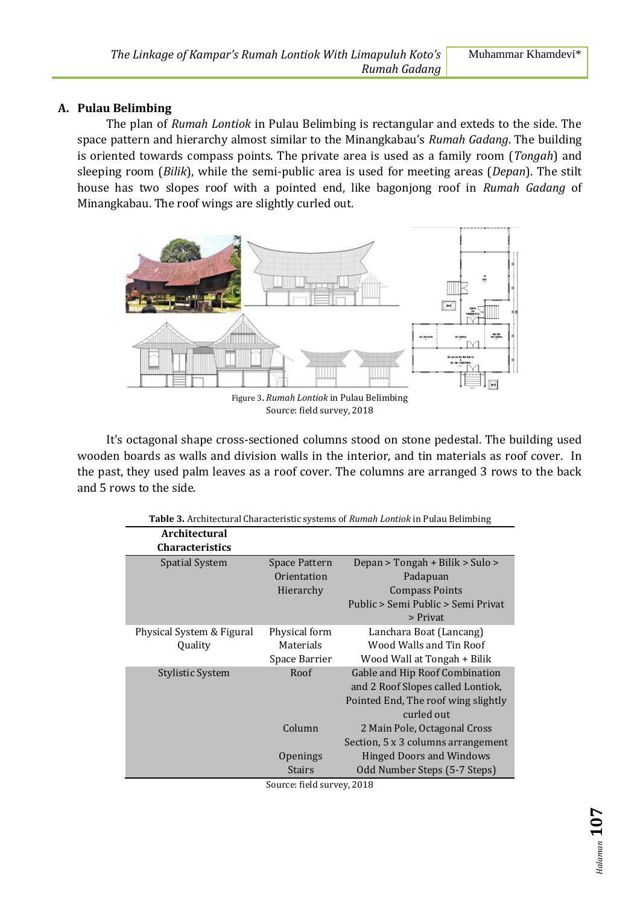## **A. Pulau Belimbing**

The plan of *Rumah Lontiok* in Pulau Belimbing is rectangular and exteds to the side. The space pattern and hierarchy almost similar to the Minangkabau's *Rumah Gadang*. The building is oriented towards compass points. The private area is used as a family room (*Tongah*) and sleeping room (*Bilik*), while the semi-public area is used for meeting areas (*Depan*). The stilt house has two slopes roof with a pointed end, like bagonjong roof in *Rumah Gadang* of Minangkabau. The roof wings are slightly curled out.



Figure 3**.** *Rumah Lontiok* in Pulau Belimbing Source: field survey, 2018

It's octagonal shape cross-sectioned columns stood on stone pedestal. The building used wooden boards as walls and division walls in the interior, and tin materials as roof cover. In the past, they used palm leaves as a roof cover. The columns are arranged 3 rows to the back and 5 rows to the side.

| Table 3. Architectural Characteristic systems of Rumah Lontiok in Pulau Belimbing |               |                                     |  |
|-----------------------------------------------------------------------------------|---------------|-------------------------------------|--|
| <b>Architectural</b>                                                              |               |                                     |  |
| <b>Characteristics</b>                                                            |               |                                     |  |
| Spatial System                                                                    | Space Pattern | Depan > Tongah + Bilik > Sulo >     |  |
|                                                                                   | Orientation   | Padapuan                            |  |
|                                                                                   | Hierarchy     | <b>Compass Points</b>               |  |
|                                                                                   |               | Public > Semi Public > Semi Privat  |  |
|                                                                                   |               | > Privat                            |  |
| Physical System & Figural                                                         | Physical form | Lanchara Boat (Lancang)             |  |
| Ouality                                                                           | Materials     | Wood Walls and Tin Roof             |  |
|                                                                                   | Space Barrier | Wood Wall at Tongah + Bilik         |  |
| Stylistic System                                                                  | Roof          | Gable and Hip Roof Combination      |  |
|                                                                                   |               | and 2 Roof Slopes called Lontiok,   |  |
|                                                                                   |               | Pointed End, The roof wing slightly |  |
|                                                                                   |               | curled out                          |  |
|                                                                                   | Column        | 2 Main Pole, Octagonal Cross        |  |
|                                                                                   |               | Section, 5 x 3 columns arrangement  |  |
|                                                                                   | Openings      | <b>Hinged Doors and Windows</b>     |  |
|                                                                                   | <b>Stairs</b> | Odd Number Steps (5-7 Steps)        |  |

Source: field survey, 2018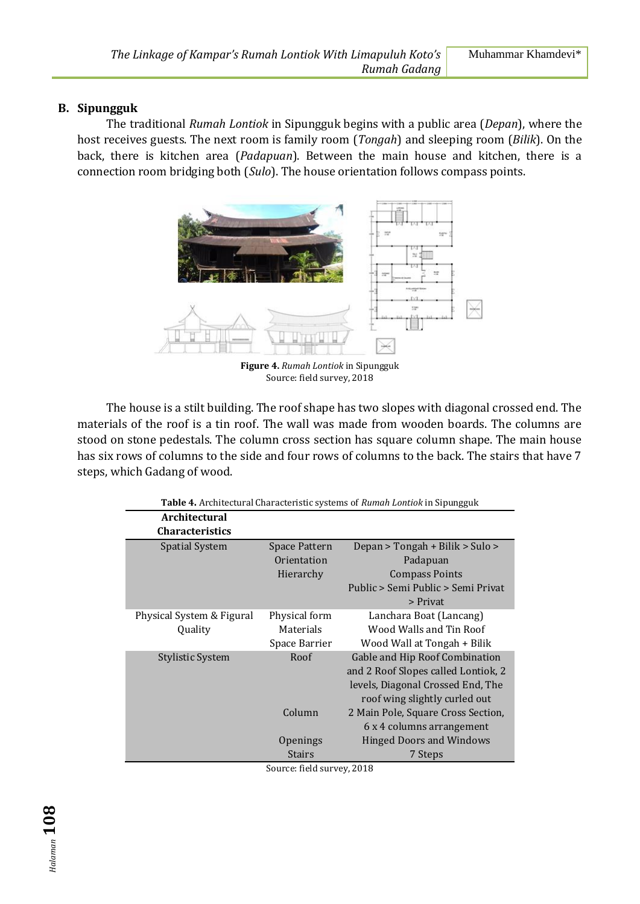### **B. Sipungguk**

The traditional *Rumah Lontiok* in Sipungguk begins with a public area (*Depan*), where the host receives guests. The next room is family room (*Tongah*) and sleeping room (*Bilik*). On the back, there is kitchen area (*Padapuan*). Between the main house and kitchen, there is a connection room bridging both (*Sulo*). The house orientation follows compass points.



**Figure 4.** *Rumah Lontiok* in Sipungguk Source: field survey, 2018

The house is a stilt building. The roof shape has two slopes with diagonal crossed end. The materials of the roof is a tin roof. The wall was made from wooden boards. The columns are stood on stone pedestals. The column cross section has square column shape. The main house has six rows of columns to the side and four rows of columns to the back. The stairs that have 7 steps, which Gadang of wood.

| Table 4. Architectural Characteristic systems of Rumah Lontiok in Sipungguk |               |                                     |  |
|-----------------------------------------------------------------------------|---------------|-------------------------------------|--|
| Architectural                                                               |               |                                     |  |
| <b>Characteristics</b>                                                      |               |                                     |  |
| <b>Spatial System</b>                                                       | Space Pattern | Depan > Tongah + Bilik > Sulo >     |  |
|                                                                             | Orientation   | Padapuan                            |  |
|                                                                             | Hierarchy     | <b>Compass Points</b>               |  |
|                                                                             |               | Public > Semi Public > Semi Privat  |  |
|                                                                             |               | > Privat                            |  |
| Physical System & Figural                                                   | Physical form | Lanchara Boat (Lancang)             |  |
| Quality                                                                     | Materials     | Wood Walls and Tin Roof             |  |
|                                                                             | Space Barrier | Wood Wall at Tongah + Bilik         |  |
| <b>Stylistic System</b>                                                     | Roof          | Gable and Hip Roof Combination      |  |
|                                                                             |               | and 2 Roof Slopes called Lontiok, 2 |  |
|                                                                             |               | levels, Diagonal Crossed End, The   |  |
|                                                                             |               | roof wing slightly curled out       |  |
|                                                                             | Column        | 2 Main Pole, Square Cross Section,  |  |
|                                                                             |               | 6 x 4 columns arrangement           |  |
|                                                                             | Openings      | <b>Hinged Doors and Windows</b>     |  |
|                                                                             | <b>Stairs</b> | 7 Steps                             |  |

Source: field survey, 2018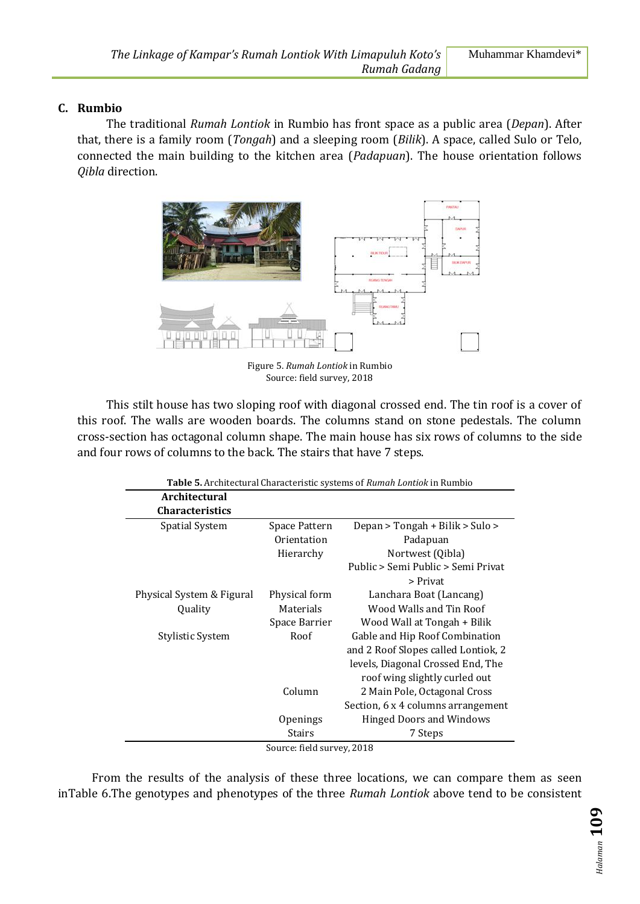## **C. Rumbio**

The traditional *Rumah Lontiok* in Rumbio has front space as a public area (*Depan*). After that, there is a family room (*Tongah*) and a sleeping room (*Bilik*). A space, called Sulo or Telo, connected the main building to the kitchen area (*Padapuan*). The house orientation follows *Qibla* direction.



Figure 5. *Rumah Lontiok* in Rumbio Source: field survey, 2018

This stilt house has two sloping roof with diagonal crossed end. The tin roof is a cover of this roof. The walls are wooden boards. The columns stand on stone pedestals. The column cross-section has octagonal column shape. The main house has six rows of columns to the side and four rows of columns to the back. The stairs that have 7 steps.

| Table 5. Architectural Characteristic systems of Rumah Lontiok in Rumbio |               |                                     |  |
|--------------------------------------------------------------------------|---------------|-------------------------------------|--|
| <b>Architectural</b>                                                     |               |                                     |  |
| <b>Characteristics</b>                                                   |               |                                     |  |
| <b>Spatial System</b>                                                    | Space Pattern | Depan > Tongah + Bilik > Sulo >     |  |
|                                                                          | Orientation   | Padapuan                            |  |
|                                                                          | Hierarchy     | Nortwest (Qibla)                    |  |
|                                                                          |               | Public > Semi Public > Semi Privat  |  |
|                                                                          |               | > Privat                            |  |
| Physical System & Figural                                                | Physical form | Lanchara Boat (Lancang)             |  |
| Quality                                                                  | Materials     | Wood Walls and Tin Roof             |  |
|                                                                          | Space Barrier | Wood Wall at Tongah + Bilik         |  |
| Stylistic System                                                         | Roof          | Gable and Hip Roof Combination      |  |
|                                                                          |               | and 2 Roof Slopes called Lontiok, 2 |  |
|                                                                          |               | levels, Diagonal Crossed End, The   |  |
|                                                                          |               | roof wing slightly curled out       |  |
|                                                                          | Column        | 2 Main Pole, Octagonal Cross        |  |
|                                                                          |               | Section, 6 x 4 columns arrangement  |  |
|                                                                          | Openings      | <b>Hinged Doors and Windows</b>     |  |
|                                                                          | Stairs        | 7 Steps                             |  |
| Cource field curvey 2018                                                 |               |                                     |  |

Source: field survey, 2018

From the results of the analysis of these three locations, we can compare them as seen inTable 6.The genotypes and phenotypes of the three *Rumah Lontiok* above tend to be consistent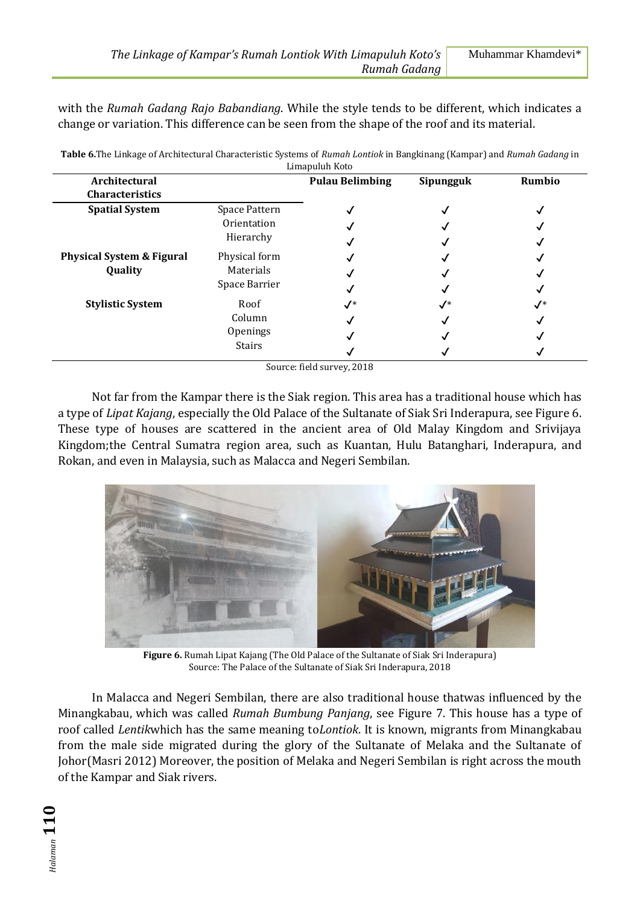with the *Rumah Gadang Rajo Babandiang*. While the style tends to be different, which indicates a change or variation. This difference can be seen from the shape of the roof and its material.

| Limapuluh Koto                       |                              |                        |                 |                |
|--------------------------------------|------------------------------|------------------------|-----------------|----------------|
| Architectural                        |                              | <b>Pulau Belimbing</b> | Sipungguk       | Rumbio         |
| <b>Characteristics</b>               |                              |                        |                 |                |
| <b>Spatial System</b>                | Space Pattern<br>Orientation |                        |                 |                |
|                                      |                              |                        |                 |                |
|                                      | Hierarchy                    |                        |                 |                |
| <b>Physical System &amp; Figural</b> | Physical form                |                        |                 |                |
| Quality                              | Materials                    |                        |                 |                |
|                                      | Space Barrier                |                        |                 |                |
| <b>Stylistic System</b>              | Roof                         | $\checkmark^*$         | $\mathcal{N}^*$ | $\checkmark^*$ |
|                                      | Column                       |                        |                 |                |
|                                      | Openings                     |                        |                 |                |
|                                      | Stairs                       |                        |                 |                |

**Table 6.**The Linkage of Architectural Characteristic Systems of *Rumah Lontiok* in Bangkinang (Kampar) and *Rumah Gadang* in

Source: field survey, 2018

Not far from the Kampar there is the Siak region. This area has a traditional house which has a type of *Lipat Kajang*, especially the Old Palace of the Sultanate of Siak Sri Inderapura, see Figure 6. These type of houses are scattered in the ancient area of Old Malay Kingdom and Srivijaya Kingdom;the Central Sumatra region area, such as Kuantan, Hulu Batanghari, Inderapura, and Rokan, and even in Malaysia, such as Malacca and Negeri Sembilan.



**Figure 6.** Rumah Lipat Kajang (The Old Palace of the Sultanate of Siak Sri Inderapura) Source: The Palace of the Sultanate of Siak Sri Inderapura, 2018

In Malacca and Negeri Sembilan, there are also traditional house thatwas influenced by the Minangkabau, which was called *Rumah Bumbung Panjang*, see Figure 7. This house has a type of roof called *Lentik*which has the same meaning to*Lontiok*. It is known, migrants from Minangkabau from the male side migrated during the glory of the Sultanate of Melaka and the Sultanate of Johor(Masri 2012) Moreover, the position of Melaka and Negeri Sembilan is right across the mouth of the Kampar and Siak rivers.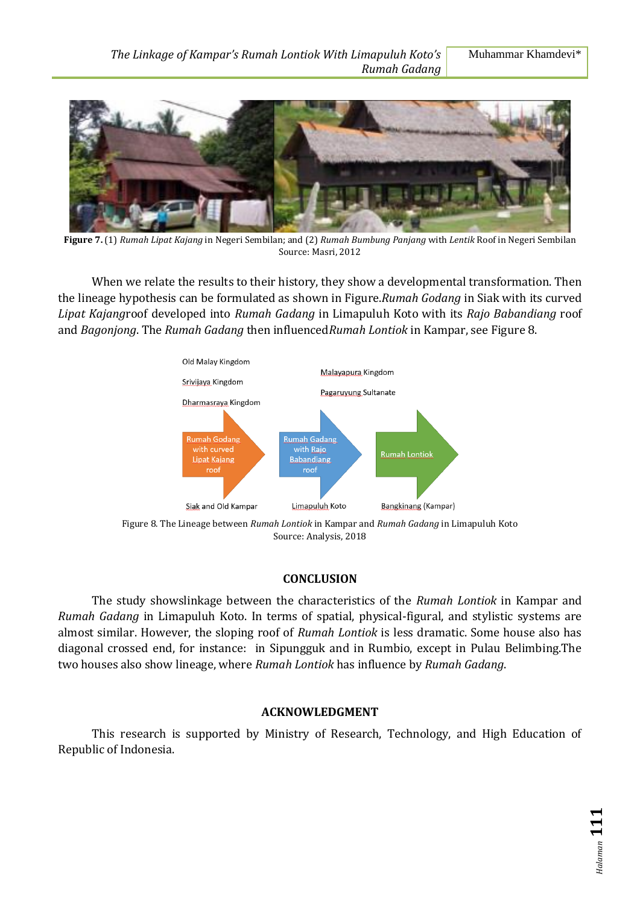

**Figure 7.** (1) *Rumah Lipat Kajang* in Negeri Sembilan; and (2) *Rumah Bumbung Panjang* with *Lentik* Roof in Negeri Sembilan Source: Masri, 2012

When we relate the results to their history, they show a developmental transformation. Then the lineage hypothesis can be formulated as shown in Figure.*Rumah Godang* in Siak with its curved *Lipat Kajang*roof developed into *Rumah Gadang* in Limapuluh Koto with its *Rajo Babandiang* roof and *Bagonjong*. The *Rumah Gadang* then influenced*Rumah Lontiok* in Kampar, see Figure 8.



Source: Analysis, 2018

### **CONCLUSION**

The study showslinkage between the characteristics of the *Rumah Lontiok* in Kampar and *Rumah Gadang* in Limapuluh Koto. In terms of spatial, physical-figural, and stylistic systems are almost similar. However, the sloping roof of *Rumah Lontiok* is less dramatic. Some house also has diagonal crossed end, for instance: in Sipungguk and in Rumbio, except in Pulau Belimbing.The two houses also show lineage, where *Rumah Lontiok* has influence by *Rumah Gadang*.

## **ACKNOWLEDGMENT**

This research is supported by Ministry of Research, Technology, and High Education of Republic of Indonesia.